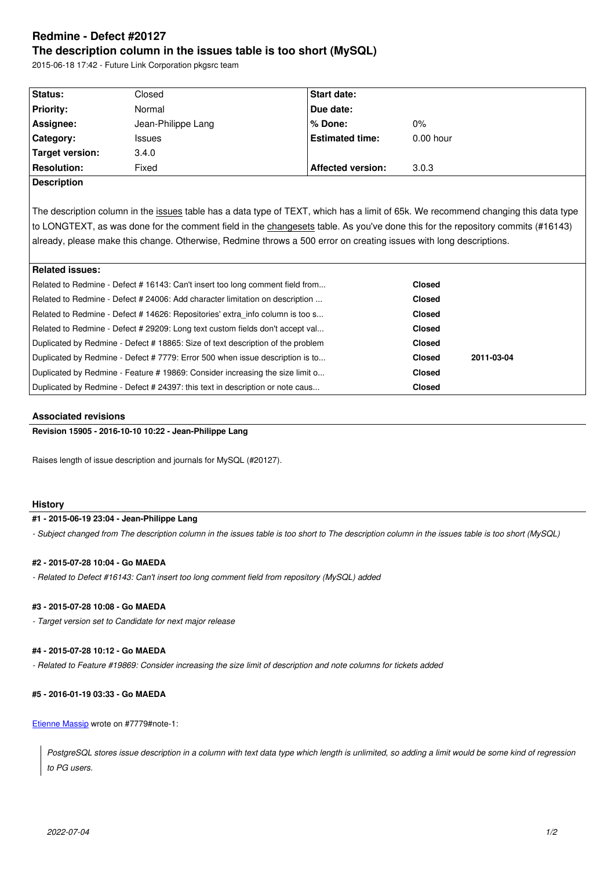#### **The description column in the issues table is too short (MySQL)**

2015-06-18 17:42 - Future Link Corporation pkgsrc team

| Status:            | Closed             | <b>Start date:</b>       |             |
|--------------------|--------------------|--------------------------|-------------|
| <b>Priority:</b>   | Normal             | Due date:                |             |
| Assignee:          | Jean-Philippe Lang | % Done:                  | 0%          |
| Category:          | <b>Issues</b>      | <b>Estimated time:</b>   | $0.00$ hour |
| Target version:    | 3.4.0              |                          |             |
| <b>Resolution:</b> | Fixed              | <b>Affected version:</b> | 3.0.3       |
| Description        |                    |                          |             |

The description column in the issues table has a data type of TEXT, which has a limit of 65k. We recommend changing this data type to LONGTEXT, as was done for the comment field in the changesets table. As you've done this for the repository commits (#16143) already, please make this change. Otherwise, Redmine throws a 500 error on creating issues with long descriptions.

# **Related issues:**

| ⊤ncialcu issucs.                                                             |                                                                                                                                                                                                                                                                                                                                                                                                                                                                                                                                                                                       |               |
|------------------------------------------------------------------------------|---------------------------------------------------------------------------------------------------------------------------------------------------------------------------------------------------------------------------------------------------------------------------------------------------------------------------------------------------------------------------------------------------------------------------------------------------------------------------------------------------------------------------------------------------------------------------------------|---------------|
|                                                                              | <b>Closed</b>                                                                                                                                                                                                                                                                                                                                                                                                                                                                                                                                                                         |               |
| Related to Redmine - Defect # 24006: Add character limitation on description |                                                                                                                                                                                                                                                                                                                                                                                                                                                                                                                                                                                       |               |
|                                                                              | <b>Closed</b>                                                                                                                                                                                                                                                                                                                                                                                                                                                                                                                                                                         |               |
|                                                                              | <b>Closed</b>                                                                                                                                                                                                                                                                                                                                                                                                                                                                                                                                                                         |               |
|                                                                              | <b>Closed</b>                                                                                                                                                                                                                                                                                                                                                                                                                                                                                                                                                                         |               |
|                                                                              | <b>Closed</b>                                                                                                                                                                                                                                                                                                                                                                                                                                                                                                                                                                         | 2011-03-04    |
|                                                                              | <b>Closed</b>                                                                                                                                                                                                                                                                                                                                                                                                                                                                                                                                                                         |               |
|                                                                              | <b>Closed</b>                                                                                                                                                                                                                                                                                                                                                                                                                                                                                                                                                                         |               |
|                                                                              | Related to Redmine - Defect # 16143: Can't insert too long comment field from<br>Related to Redmine - Defect # 14626: Repositories' extra info column is too s<br>Related to Redmine - Defect # 29209: Long text custom fields don't accept val<br>Duplicated by Redmine - Defect # 18865: Size of text description of the problem<br>Duplicated by Redmine - Defect # 7779: Error 500 when issue description is to<br>Duplicated by Redmine - Feature # 19869: Consider increasing the size limit o<br>Duplicated by Redmine - Defect # 24397: this text in description or note caus | <b>Closed</b> |

# **Associated revisions**

**Revision 15905 - 2016-10-10 10:22 - Jean-Philippe Lang**

Raises length of issue description and journals for MySQL (#20127).

#### **History**

## **#1 - 2015-06-19 23:04 - Jean-Philippe Lang**

*- Subject changed from The description column in the issues table is too short to The description column in the issues table is too short (MySQL)*

# **#2 - 2015-07-28 10:04 - Go MAEDA**

*- Related to Defect #16143: Can't insert too long comment field from repository (MySQL) added*

### **#3 - 2015-07-28 10:08 - Go MAEDA**

*- Target version set to Candidate for next major release*

#### **#4 - 2015-07-28 10:12 - Go MAEDA**

*- Related to Feature #19869: Consider increasing the size limit of description and note columns for tickets added*

#### **#5 - 2016-01-19 03:33 - Go MAEDA**

Etienne Massip wrote on #7779#note-1:

*PostgreSQL stores issue description in a column with text data type which length is unlimited, so adding a limit would be some kind of regression [to PG users](http://www.redmine.org/users/6508).*